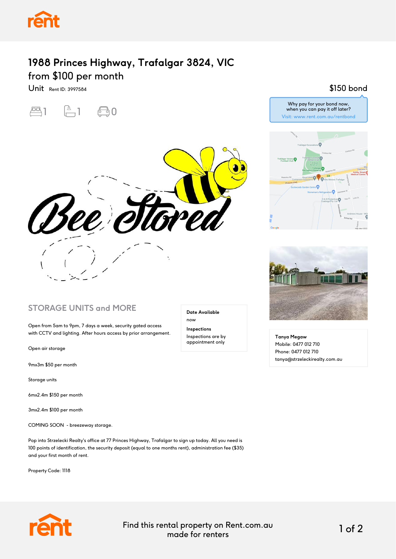

## **1988 Princes Highway, Trafalgar 3824, VIC** from \$100 per month

Unit Rent ID: 3997584





#### **STORAGE UNITS and MORE**

Open from 5am to 9pm, 7 days a week, security gated access with CCTV and lighting. After hours access by prior arrangement.

Open air storage

9mx3m \$50 per month

Storage units

6mx2.4m \$150 per month

3mx2.4m \$100 per month

COMING SOON - breezeway storage.

Pop into Strzelecki Realty's office at 77 Princes Highway, Trafalgar to sign up today. All you need is 100 points of identification, the security deposit (equal to one months rent), administration fee (\$35) and your first month of rent.

Property Code: 1118

#### **Date Available** now

**Inspections** Inspections are by appointment only

#### \$150 bond





**Tanya Megaw** Mobile: 0477 012 710 Phone: 0477 012 710 tanya@strzeleckirealty.com.au



Find this rental property on Rent.com.au made for renters 1 of 2